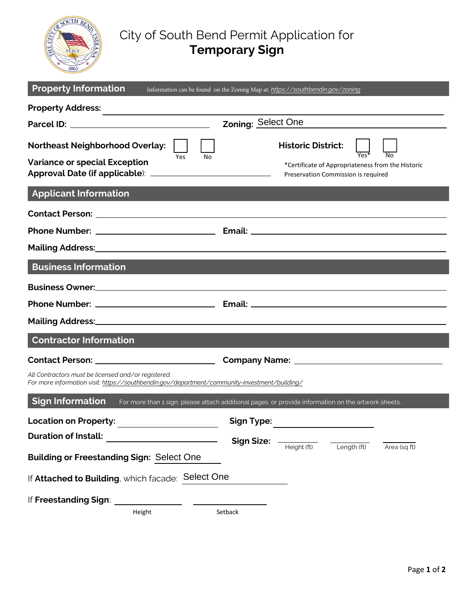

## City of South Bend Permit Application for **Temporary Sign**

| <b>Property Information</b>                                                                                                                          | Information can be found on the Zoning Map at: https://southbendin.gov/zoning                                         |
|------------------------------------------------------------------------------------------------------------------------------------------------------|-----------------------------------------------------------------------------------------------------------------------|
|                                                                                                                                                      |                                                                                                                       |
|                                                                                                                                                      | Zoning: Select One                                                                                                    |
| <b>Northeast Neighborhood Overlay:</b><br>Yes<br>No<br><b>Variance or special Exception</b>                                                          | <b>Historic District:</b><br>*Certificate of Appropriateness from the Historic<br>Preservation Commission is required |
| <b>Applicant Information</b>                                                                                                                         |                                                                                                                       |
|                                                                                                                                                      |                                                                                                                       |
|                                                                                                                                                      |                                                                                                                       |
|                                                                                                                                                      |                                                                                                                       |
| <b>Business Information</b>                                                                                                                          |                                                                                                                       |
| Business Owner: <u>Cambridge Communication</u> and Communication and Communication and Communication                                                 |                                                                                                                       |
|                                                                                                                                                      |                                                                                                                       |
| Mailing Address: Mailing Address: All Allin Address: All Allin Address: All Allin Address: All Allin Address: A                                      |                                                                                                                       |
| <b>Contractor Information</b>                                                                                                                        |                                                                                                                       |
|                                                                                                                                                      |                                                                                                                       |
| All Contractors must be licensed and/or registered.<br>For more information visit: https://southbendin.gov/department/community-investment/building/ |                                                                                                                       |
| <b>Sign Information</b>                                                                                                                              | For more than 1 sign, please attach additional pages, or provide information on the artwork sheets.                   |
| <b>Location on Property:</b><br><u> 1990 - Johann Barbara, martin a</u>                                                                              | <b>Sign Type:</b>                                                                                                     |
| <b>Duration of Install:</b>                                                                                                                          | <b>Sign Size:</b>                                                                                                     |
| <b>Building or Freestanding Sign: Select One</b>                                                                                                     | Length (ft)<br>Height (ft)<br>Area (sq ft)                                                                            |
| If Attached to Building, which facade: Select One                                                                                                    |                                                                                                                       |
| If Freestanding Sign:                                                                                                                                |                                                                                                                       |
| Height                                                                                                                                               | Setback                                                                                                               |